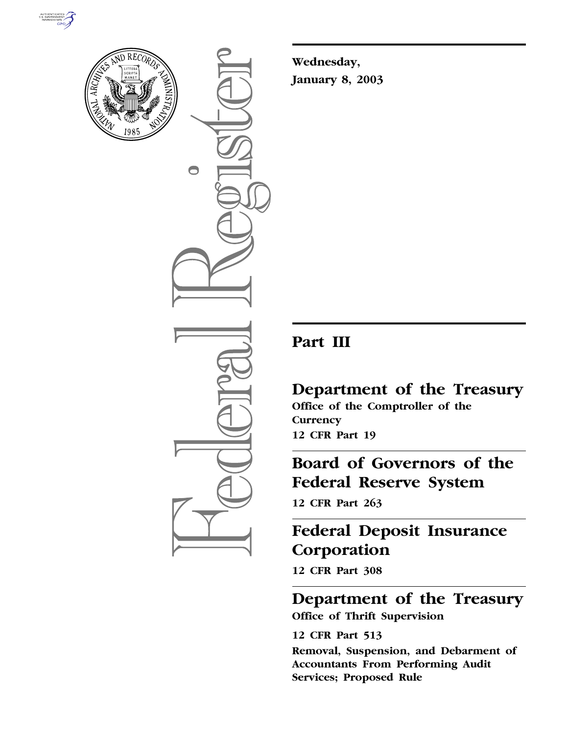



 $\bigcirc$ 

**Wednesday, January 8, 2003**

# **Part III**

**Department of the Treasury Office of the Comptroller of the Currency 12 CFR Part 19**

**Board of Governors of the Federal Reserve System** 

**12 CFR Part 263**

# **Federal Deposit Insurance Corporation**

**12 CFR Part 308**

**Department of the Treasury Office of Thrift Supervision** 

**12 CFR Part 513 Removal, Suspension, and Debarment of Accountants From Performing Audit Services; Proposed Rule**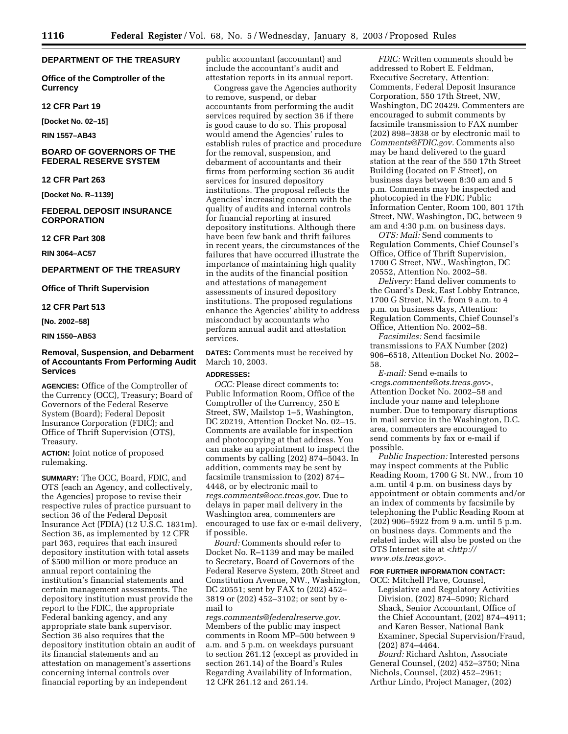# **DEPARTMENT OF THE TREASURY**

**Office of the Comptroller of the Currency** 

**12 CFR Part 19** 

**[Docket No. 02–15]** 

**RIN 1557–AB43** 

# **BOARD OF GOVERNORS OF THE FEDERAL RESERVE SYSTEM**

## **12 CFR Part 263**

**[Docket No. R–1139]** 

# **FEDERAL DEPOSIT INSURANCE CORPORATION**

## **12 CFR Part 308**

**RIN 3064–AC57** 

# **DEPARTMENT OF THE TREASURY**

**Office of Thrift Supervision** 

### **12 CFR Part 513**

**[No. 2002–58]** 

## **RIN 1550–AB53**

# **Removal, Suspension, and Debarment of Accountants From Performing Audit Services**

**AGENCIES:** Office of the Comptroller of the Currency (OCC), Treasury; Board of Governors of the Federal Reserve System (Board); Federal Deposit Insurance Corporation (FDIC); and Office of Thrift Supervision (OTS), Treasury.

**ACTION:** Joint notice of proposed rulemaking.

**SUMMARY:** The OCC, Board, FDIC, and OTS (each an Agency, and collectively, the Agencies) propose to revise their respective rules of practice pursuant to section 36 of the Federal Deposit Insurance Act (FDIA) (12 U.S.C. 1831m). Section 36, as implemented by 12 CFR part 363, requires that each insured depository institution with total assets of \$500 million or more produce an annual report containing the institution's financial statements and certain management assessments. The depository institution must provide the report to the FDIC, the appropriate Federal banking agency, and any appropriate state bank supervisor. Section 36 also requires that the depository institution obtain an audit of its financial statements and an attestation on management's assertions concerning internal controls over financial reporting by an independent

public accountant (accountant) and include the accountant's audit and attestation reports in its annual report.

Congress gave the Agencies authority to remove, suspend, or debar accountants from performing the audit services required by section 36 if there is good cause to do so. This proposal would amend the Agencies' rules to establish rules of practice and procedure for the removal, suspension, and debarment of accountants and their firms from performing section 36 audit services for insured depository institutions. The proposal reflects the Agencies' increasing concern with the quality of audits and internal controls for financial reporting at insured depository institutions. Although there have been few bank and thrift failures in recent years, the circumstances of the failures that have occurred illustrate the importance of maintaining high quality in the audits of the financial position and attestations of management assessments of insured depository institutions. The proposed regulations enhance the Agencies' ability to address misconduct by accountants who perform annual audit and attestation services.

**DATES:** Comments must be received by March 10, 2003.

#### **ADDRESSES:**

*OCC:* Please direct comments to: Public Information Room, Office of the Comptroller of the Currency, 250 E Street, SW, Mailstop 1–5, Washington, DC 20219, Attention Docket No. 02–15. Comments are available for inspection and photocopying at that address. You can make an appointment to inspect the comments by calling (202) 874–5043. In addition, comments may be sent by facsimile transmission to (202) 874– 4448, or by electronic mail to *regs.comments@occ.treas.gov.* Due to delays in paper mail delivery in the Washington area, commenters are encouraged to use fax or e-mail delivery, if possible.

*Board:* Comments should refer to Docket No. R–1139 and may be mailed to Secretary, Board of Governors of the Federal Reserve System, 20th Street and Constitution Avenue, NW., Washington, DC 20551; sent by FAX to (202) 452– 3819 or (202) 452–3102; or sent by email to

*regs.comments@federalreserve.gov.* Members of the public may inspect comments in Room MP–500 between 9 a.m. and 5 p.m. on weekdays pursuant to section 261.12 (except as provided in section 261.14) of the Board's Rules Regarding Availability of Information, 12 CFR 261.12 and 261.14.

*FDIC:* Written comments should be addressed to Robert E. Feldman, Executive Secretary, Attention: Comments, Federal Deposit Insurance Corporation, 550 17th Street, NW, Washington, DC 20429. Commenters are encouraged to submit comments by facsimile transmission to FAX number (202) 898–3838 or by electronic mail to *Comments@FDIC.gov.* Comments also may be hand delivered to the guard station at the rear of the 550 17th Street Building (located on F Street), on business days between 8:30 am and 5 p.m. Comments may be inspected and photocopied in the FDIC Public Information Center, Room 100, 801 17th Street, NW, Washington, DC, between 9 am and 4:30 p.m. on business days.

*OTS: Mail:* Send comments to Regulation Comments, Chief Counsel's Office, Office of Thrift Supervision, 1700 G Street, NW., Washington, DC 20552, Attention No. 2002–58.

*Delivery:* Hand deliver comments to the Guard's Desk, East Lobby Entrance, 1700 G Street, N.W. from 9 a.m. to 4 p.m. on business days, Attention: Regulation Comments, Chief Counsel's Office, Attention No. 2002–58.

*Facsimiles:* Send facsimile transmissions to FAX Number (202) 906–6518, Attention Docket No. 2002– 58.

*E-mail:* Send e-mails to *<regs.comments@ots.treas.gov>*, Attention Docket No. 2002–58 and include your name and telephone number. Due to temporary disruptions in mail service in the Washington, D.C. area, commenters are encouraged to send comments by fax or e-mail if possible.

*Public Inspection:* Interested persons may inspect comments at the Public Reading Room, 1700 G St. NW., from 10 a.m. until 4 p.m. on business days by appointment or obtain comments and/or an index of comments by facsimile by telephoning the Public Reading Room at (202) 906–5922 from 9 a.m. until 5 p.m. on business days. Comments and the related index will also be posted on the OTS Internet site at *<http:// www.ots.treas.gov>.*

# **FOR FURTHER INFORMATION CONTACT:**

OCC: Mitchell Plave, Counsel,

Legislative and Regulatory Activities Division, (202) 874–5090; Richard Shack, Senior Accountant, Office of the Chief Accountant, (202) 874–4911; and Karen Besser, National Bank Examiner, Special Supervision/Fraud, (202) 874–4464.

*Board:* Richard Ashton, Associate General Counsel, (202) 452–3750; Nina Nichols, Counsel, (202) 452–2961; Arthur Lindo, Project Manager, (202)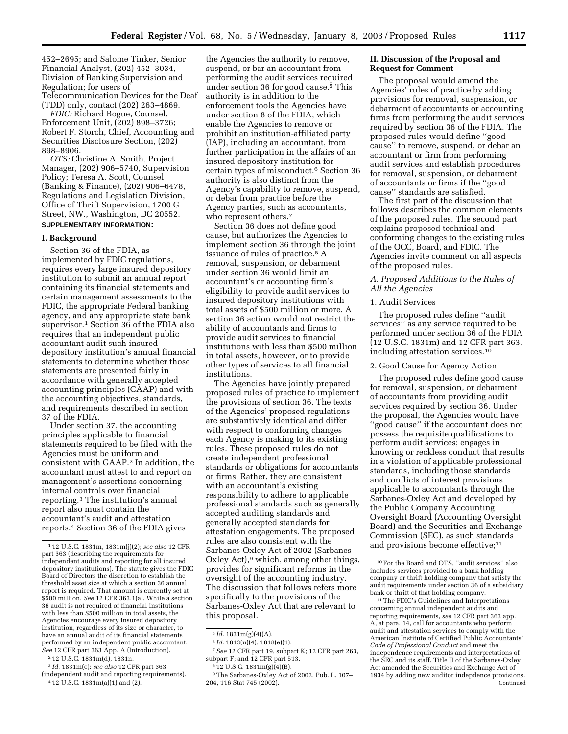452–2695; and Salome Tinker, Senior Financial Analyst, (202) 452–3034, Division of Banking Supervision and Regulation; for users of Telecommunication Devices for the Deaf (TDD) only, contact (202) 263–4869.

*FDIC:* Richard Bogue, Counsel, Enforcement Unit, (202) 898–3726; Robert F. Storch, Chief, Accounting and Securities Disclosure Section, (202) 898–8906.

*OTS:* Christine A. Smith, Project Manager, (202) 906–5740, Supervision Policy; Teresa A. Scott, Counsel (Banking & Finance), (202) 906–6478, Regulations and Legislation Division, Office of Thrift Supervision, 1700 G Street, NW., Washington, DC 20552. **SUPPLEMENTARY INFORMATION:** 

## **I. Background**

Section 36 of the FDIA, as implemented by FDIC regulations, requires every large insured depository institution to submit an annual report containing its financial statements and certain management assessments to the FDIC, the appropriate Federal banking agency, and any appropriate state bank supervisor.1 Section 36 of the FDIA also requires that an independent public accountant audit such insured depository institution's annual financial statements to determine whether those statements are presented fairly in accordance with generally accepted accounting principles (GAAP) and with the accounting objectives, standards, and requirements described in section 37 of the FDIA.

Under section 37, the accounting principles applicable to financial statements required to be filed with the Agencies must be uniform and consistent with GAAP.2 In addition, the accountant must attest to and report on management's assertions concerning internal controls over financial reporting.3 The institution's annual report also must contain the accountant's audit and attestation reports.4 Section 36 of the FDIA gives

2 12 U.S.C. 1831m(d), 1831n.

3 *Id.* 1831m(c): *see also* 12 CFR part 363 (independent audit and reporting requirements).

4 12 U.S.C. 1831m(a)(1) and (2).

the Agencies the authority to remove, suspend, or bar an accountant from performing the audit services required under section 36 for good cause.<sup>5</sup> This authority is in addition to the enforcement tools the Agencies have under section 8 of the FDIA, which enable the Agencies to remove or prohibit an institution-affiliated party (IAP), including an accountant, from further participation in the affairs of an insured depository institution for certain types of misconduct.6 Section 36 authority is also distinct from the Agency's capability to remove, suspend, or debar from practice before the Agency parties, such as accountants, who represent others.<sup>7</sup>

Section 36 does not define good cause, but authorizes the Agencies to implement section 36 through the joint issuance of rules of practice.<sup>8</sup> A removal, suspension, or debarment under section 36 would limit an accountant's or accounting firm's eligibility to provide audit services to insured depository institutions with total assets of \$500 million or more. A section 36 action would not restrict the ability of accountants and firms to provide audit services to financial institutions with less than \$500 million in total assets, however, or to provide other types of services to all financial institutions.

The Agencies have jointly prepared proposed rules of practice to implement the provisions of section 36. The texts of the Agencies' proposed regulations are substantively identical and differ with respect to conforming changes each Agency is making to its existing rules. These proposed rules do not create independent professional standards or obligations for accountants or firms. Rather, they are consistent with an accountant's existing responsibility to adhere to applicable professional standards such as generally accepted auditing standards and generally accepted standards for attestation engagements. The proposed rules are also consistent with the Sarbanes-Oxley Act of 2002 (Sarbanes-Oxley Act),<sup>9</sup> which, among other things, provides for significant reforms in the oversight of the accounting industry. The discussion that follows refers more specifically to the provisions of the Sarbanes-Oxley Act that are relevant to this proposal.

# **II. Discussion of the Proposal and Request for Comment**

The proposal would amend the Agencies' rules of practice by adding provisions for removal, suspension, or debarment of accountants or accounting firms from performing the audit services required by section 36 of the FDIA. The proposed rules would define ''good cause'' to remove, suspend, or debar an accountant or firm from performing audit services and establish procedures for removal, suspension, or debarment of accountants or firms if the ''good cause'' standards are satisfied.

The first part of the discussion that follows describes the common elements of the proposed rules. The second part explains proposed technical and conforming changes to the existing rules of the OCC, Board, and FDIC. The Agencies invite comment on all aspects of the proposed rules.

# *A. Proposed Additions to the Rules of All the Agencies*

#### 1. Audit Services

The proposed rules define ''audit services'' as any service required to be performed under section 36 of the FDIA (12 U.S.C. 1831m) and 12 CFR part 363, including attestation services.10

# 2. Good Cause for Agency Action

The proposed rules define good cause for removal, suspension, or debarment of accountants from providing audit services required by section 36. Under the proposal, the Agencies would have ''good cause'' if the accountant does not possess the requisite qualifications to perform audit services; engages in knowing or reckless conduct that results in a violation of applicable professional standards, including those standards and conflicts of interest provisions applicable to accountants through the Sarbanes-Oxley Act and developed by the Public Company Accounting Oversight Board (Accounting Oversight Board) and the Securities and Exchange Commission (SEC), as such standards and provisions become effective;<sup>11</sup>

<sup>1</sup> 12 U.S.C. 1831m, 1831m(j)(2); *see also* 12 CFR part 363 (describing the requirements for independent audits and reporting for all insured depository institutions). The statute gives the FDIC Board of Directors the discretion to establish the threshold asset size at which a section 36 annual report is required. That amount is currently set at \$500 million. *See* 12 CFR 363.1(a). While a section 36 audit is not required of financial institutions with less than \$500 million in total assets, the Agencies encourage every insured depository institution, regardless of its size or character, to have an annual audit of its financial statements performed by an independent public accountant. *See* 12 CFR part 363 App. A (Introduction).

<sup>5</sup> *Id.* 1831m(g)(4)(A).

<sup>6</sup> *Id.* 1813(u)(4), 1818(e)(1).

<sup>7</sup>*See* 12 CFR part 19, subpart K; 12 CFR part 263, subpart F; and 12 CFR part 513.

<sup>8</sup> 12 U.S.C. 1831m(g)(4)(B).

<sup>9</sup>The Sarbanes-Oxley Act of 2002, Pub. L. 107– 204, 116 Stat 745 (2002).

<sup>10</sup>For the Board and OTS, ''audit services'' also includes services provided to a bank holding company or thrift holding company that satisfy the audit requirements under section 36 of a subsidiary bank or thrift of that holding company.

<sup>11</sup>The FDIC's Guidelines and Interpretations concerning annual independent audits and reporting requirements, *see* 12 CFR part 363 app. A, at para. 14, call for accountants who perform audit and attestation services to comply with the American Institute of Certified Public Accountants' *Code of Professional Conduct* and meet the independence requirements and interpretations of the SEC and its staff. Title II of the Sarbanes-Oxley Act amended the Securities and Exchange Act of 1934 by adding new auditor indepdence provisions. Continued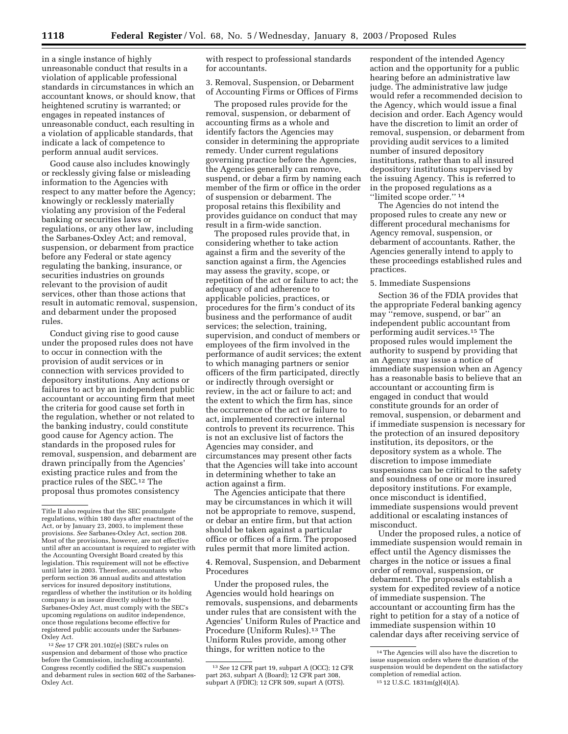in a single instance of highly unreasonable conduct that results in a violation of applicable professional standards in circumstances in which an accountant knows, or should know, that heightened scrutiny is warranted; or engages in repeated instances of unreasonable conduct, each resulting in a violation of applicable standards, that indicate a lack of competence to perform annual audit services.

Good cause also includes knowingly or recklessly giving false or misleading information to the Agencies with respect to any matter before the Agency; knowingly or recklessly materially violating any provision of the Federal banking or securities laws or regulations, or any other law, including the Sarbanes-Oxley Act; and removal, suspension, or debarment from practice before any Federal or state agency regulating the banking, insurance, or securities industries on grounds relevant to the provision of audit services, other than those actions that result in automatic removal, suspension, and debarment under the proposed rules.

Conduct giving rise to good cause under the proposed rules does not have to occur in connection with the provision of audit services or in connection with services provided to depository institutions. Any actions or failures to act by an independent public accountant or accounting firm that meet the criteria for good cause set forth in the regulation, whether or not related to the banking industry, could constitute good cause for Agency action. The standards in the proposed rules for removal, suspension, and debarment are drawn principally from the Agencies' existing practice rules and from the practice rules of the SEC.12 The proposal thus promotes consistency

12*See* 17 CFR 201.102(e) (SEC's rules on suspension and debarment of those who practice before the Commission, including accountants). Congress recently codified the SEC's suspension and debarment rules in section 602 of the Sarbanes-Oxley Act.

with respect to professional standards for accountants.

3. Removal, Suspension, or Debarment of Accounting Firms or Offices of Firms

The proposed rules provide for the removal, suspension, or debarment of accounting firms as a whole and identify factors the Agencies may consider in determining the appropriate remedy. Under current regulations governing practice before the Agencies, the Agencies generally can remove, suspend, or debar a firm by naming each member of the firm or office in the order of suspension or debarment. The proposal retains this flexibility and provides guidance on conduct that may result in a firm-wide sanction.

The proposed rules provide that, in considering whether to take action against a firm and the severity of the sanction against a firm, the Agencies may assess the gravity, scope, or repetition of the act or failure to act; the adequacy of and adherence to applicable policies, practices, or procedures for the firm's conduct of its business and the performance of audit services; the selection, training, supervision, and conduct of members or employees of the firm involved in the performance of audit services; the extent to which managing partners or senior officers of the firm participated, directly or indirectly through oversight or review, in the act or failure to act; and the extent to which the firm has, since the occurrence of the act or failure to act, implemented corrective internal controls to prevent its recurrence. This is not an exclusive list of factors the Agencies may consider, and circumstances may present other facts that the Agencies will take into account in determining whether to take an action against a firm.

The Agencies anticipate that there may be circumstances in which it will not be appropriate to remove, suspend, or debar an entire firm, but that action should be taken against a particular office or offices of a firm. The proposed rules permit that more limited action.

4. Removal, Suspension, and Debarment Procedures

Under the proposed rules, the Agencies would hold hearings on removals, suspensions, and debarments under rules that are consistent with the Agencies' Uniform Rules of Practice and Procedure (Uniform Rules).<sup>13</sup> The Uniform Rules provide, among other things, for written notice to the

respondent of the intended Agency action and the opportunity for a public hearing before an administrative law judge. The administrative law judge would refer a recommended decision to the Agency, which would issue a final decision and order. Each Agency would have the discretion to limit an order of removal, suspension, or debarment from providing audit services to a limited number of insured depository institutions, rather than to all insured depository institutions supervised by the issuing Agency. This is referred to in the proposed regulations as a ''limited scope order.'' 14

The Agencies do not intend the proposed rules to create any new or different procedural mechanisms for Agency removal, suspension, or debarment of accountants. Rather, the Agencies generally intend to apply to these proceedings established rules and practices.

### 5. Immediate Suspensions

Section 36 of the FDIA provides that the appropriate Federal banking agency may ''remove, suspend, or bar'' an independent public accountant from performing audit services.15 The proposed rules would implement the authority to suspend by providing that an Agency may issue a notice of immediate suspension when an Agency has a reasonable basis to believe that an accountant or accounting firm is engaged in conduct that would constitute grounds for an order of removal, suspension, or debarment and if immediate suspension is necessary for the protection of an insured depository institution, its depositors, or the depository system as a whole. The discretion to impose immediate suspensions can be critical to the safety and soundness of one or more insured depository institutions. For example, once misconduct is identified, immediate suspensions would prevent additional or escalating instances of misconduct.

Under the proposed rules, a notice of immediate suspension would remain in effect until the Agency dismisses the charges in the notice or issues a final order of removal, suspension, or debarment. The proposals establish a system for expedited review of a notice of immediate suspension. The accountant or accounting firm has the right to petition for a stay of a notice of immediate suspension within 10 calendar days after receiving service of

Title II also requires that the SEC promulgate regulations, within 180 days after enactment of the Act, or by January 23, 2003, to implement these provisions. *See* Sarbanes-Oxley Act, section 208. Most of the provisions, however, are not effective until after an accountant is required to register with the Accounting Oversight Board created by this legislation. This requirement will not be effective until later in 2003. Therefore, accountants who perform section 36 annual audits and attestation services for insured depository institutions, regardless of whether the institution or its holding company is an issuer directly subject to the Sarbanes-Oxley Act, must comply with the SEC's upcoming regulations on auditor independence, once those regulations become effective for registered public accounts under the Sarbanes-Oxley Act.

<sup>13</sup>*See* 12 CFR part 19, subpart A (OCC); 12 CFR part 263, subpart A (Board); 12 CFR part 308, subpart A (FDIC); 12 CFR 509, supart A (OTS).

<sup>14</sup>The Agencies will also have the discretion to issue suspension orders where the duration of the suspension would be dependent on the satisfactory completion of remedial action.

<sup>15</sup> 12 U.S.C. 1831m(g)(4)(A).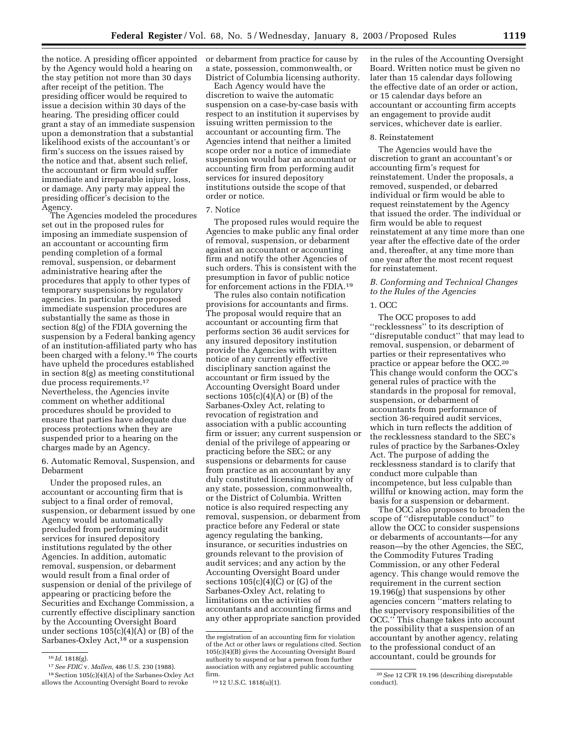the notice. A presiding officer appointed by the Agency would hold a hearing on the stay petition not more than 30 days after receipt of the petition. The presiding officer would be required to issue a decision within 30 days of the hearing. The presiding officer could grant a stay of an immediate suspension upon a demonstration that a substantial likelihood exists of the accountant's or firm's success on the issues raised by the notice and that, absent such relief, the accountant or firm would suffer immediate and irreparable injury, loss, or damage. Any party may appeal the presiding officer's decision to the Agency.

The Agencies modeled the procedures set out in the proposed rules for imposing an immediate suspension of an accountant or accounting firm pending completion of a formal removal, suspension, or debarment administrative hearing after the procedures that apply to other types of temporary suspensions by regulatory agencies. In particular, the proposed immediate suspension procedures are substantially the same as those in section 8(g) of the FDIA governing the suspension by a Federal banking agency of an institution-affiliated party who has been charged with a felony.16 The courts have upheld the procedures established in section 8(g) as meeting constitutional due process requirements.17 Nevertheless, the Agencies invite comment on whether additional procedures should be provided to ensure that parties have adequate due process protections when they are suspended prior to a hearing on the charges made by an Agency.

6. Automatic Removal, Suspension, and Debarment

Under the proposed rules, an accountant or accounting firm that is subject to a final order of removal, suspension, or debarment issued by one Agency would be automatically precluded from performing audit services for insured depository institutions regulated by the other Agencies. In addition, automatic removal, suspension, or debarment would result from a final order of suspension or denial of the privilege of appearing or practicing before the Securities and Exchange Commission, a currently effective disciplinary sanction by the Accounting Oversight Board under sections  $105(c)(4)(A)$  or  $(B)$  of the Sarbanes-Oxley Act,<sup>18</sup> or a suspension

17*See FDIC* v. *Mallen,* 486 U.S. 230 (1988). 18Section 105(c)(4)(A) of the Sarbanes-Oxley Act allows the Accounting Oversight Board to revoke

or debarment from practice for cause by a state, possession, commonwealth, or District of Columbia licensing authority.

Each Agency would have the discretion to waive the automatic suspension on a case-by-case basis with respect to an institution it supervises by issuing written permission to the accountant or accounting firm. The Agencies intend that neither a limited scope order nor a notice of immediate suspension would bar an accountant or accounting firm from performing audit services for insured depository institutions outside the scope of that order or notice.

# 7. Notice

The proposed rules would require the Agencies to make public any final order of removal, suspension, or debarment against an accountant or accounting firm and notify the other Agencies of such orders. This is consistent with the presumption in favor of public notice for enforcement actions in the FDIA.19

The rules also contain notification provisions for accountants and firms. The proposal would require that an accountant or accounting firm that performs section 36 audit services for any insured depository institution provide the Agencies with written notice of any currently effective disciplinary sanction against the accountant or firm issued by the Accounting Oversight Board under sections  $105(c)(4)(A)$  or  $(B)$  of the Sarbanes-Oxley Act, relating to revocation of registration and association with a public accounting firm or issuer; any current suspension or denial of the privilege of appearing or practicing before the SEC; or any suspensions or debarments for cause from practice as an accountant by any duly constituted licensing authority of any state, possession, commonwealth, or the District of Columbia. Written notice is also required respecting any removal, suspension, or debarment from practice before any Federal or state agency regulating the banking, insurance, or securities industries on grounds relevant to the provision of audit services; and any action by the Accounting Oversight Board under sections  $105(c)(4)(C)$  or  $(G)$  of the Sarbanes-Oxley Act, relating to limitations on the activities of accountants and accounting firms and any other appropriate sanction provided

in the rules of the Accounting Oversight Board. Written notice must be given no later than 15 calendar days following the effective date of an order or action, or 15 calendar days before an accountant or accounting firm accepts an engagement to provide audit services, whichever date is earlier.

# 8. Reinstatement

The Agencies would have the discretion to grant an accountant's or accounting firm's request for reinstatement. Under the proposals, a removed, suspended, or debarred individual or firm would be able to request reinstatement by the Agency that issued the order. The individual or firm would be able to request reinstatement at any time more than one year after the effective date of the order and, thereafter, at any time more than one year after the most recent request for reinstatement.

# *B. Conforming and Technical Changes to the Rules of the Agencies*

#### 1. OCC

The OCC proposes to add ''recklessness'' to its description of ''disreputable conduct'' that may lead to removal, suspension, or debarment of parties or their representatives who practice or appear before the OCC.20 This change would conform the OCC's general rules of practice with the standards in the proposal for removal, suspension, or debarment of accountants from performance of section 36-required audit services, which in turn reflects the addition of the recklessness standard to the SEC's rules of practice by the Sarbanes-Oxley Act. The purpose of adding the recklessness standard is to clarify that conduct more culpable than incompetence, but less culpable than willful or knowing action, may form the basis for a suspension or debarment.

The OCC also proposes to broaden the scope of ''disreputable conduct'' to allow the OCC to consider suspensions or debarments of accountants—for any reason—by the other Agencies, the SEC, the Commodity Futures Trading Commission, or any other Federal agency. This change would remove the requirement in the current section 19.196(g) that suspensions by other agencies concern ''matters relating to the supervisory responsibilities of the OCC.'' This change takes into account the possibility that a suspension of an accountant by another agency, relating to the professional conduct of an accountant, could be grounds for

<sup>16</sup> *Id.* 1818(g).

the registration of an accounting firm for violation of the Act or other laws or regulations cited. Section 105(c)(4)(B) gives the Accounting Oversight Board authority to suspend or bar a person from further association with any registered public accounting firm.

<sup>19</sup> 12 U.S.C. 1818(u)(1).

<sup>20</sup>*See* 12 CFR 19.196 (describing disreputable conduct).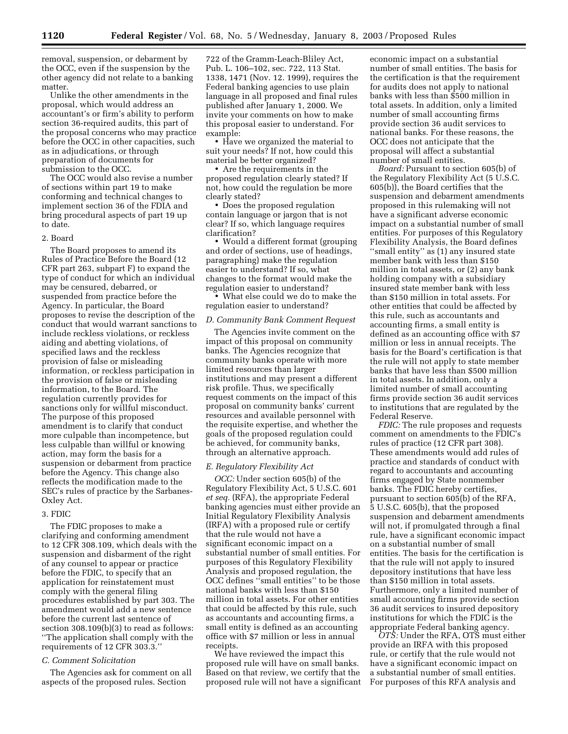removal, suspension, or debarment by the OCC, even if the suspension by the other agency did not relate to a banking matter.

Unlike the other amendments in the proposal, which would address an accountant's or firm's ability to perform section 36-required audits, this part of the proposal concerns who may practice before the OCC in other capacities, such as in adjudications, or through preparation of documents for submission to the OCC.

The OCC would also revise a number of sections within part 19 to make conforming and technical changes to implement section 36 of the FDIA and bring procedural aspects of part 19 up to date.

## 2. Board

The Board proposes to amend its Rules of Practice Before the Board (12 CFR part 263, subpart F) to expand the type of conduct for which an individual may be censured, debarred, or suspended from practice before the Agency. In particular, the Board proposes to revise the description of the conduct that would warrant sanctions to include reckless violations, or reckless aiding and abetting violations, of specified laws and the reckless provision of false or misleading information, or reckless participation in the provision of false or misleading information, to the Board. The regulation currently provides for sanctions only for willful misconduct. The purpose of this proposed amendment is to clarify that conduct more culpable than incompetence, but less culpable than willful or knowing action, may form the basis for a suspension or debarment from practice before the Agency. This change also reflects the modification made to the SEC's rules of practice by the Sarbanes-Oxley Act.

# 3. FDIC

The FDIC proposes to make a clarifying and conforming amendment to 12 CFR 308.109, which deals with the suspension and disbarment of the right of any counsel to appear or practice before the FDIC, to specify that an application for reinstatement must comply with the general filing procedures established by part 303. The amendment would add a new sentence before the current last sentence of section 308.109(b)(3) to read as follows: ''The application shall comply with the requirements of 12 CFR 303.3.''

# *C. Comment Solicitation*

The Agencies ask for comment on all aspects of the proposed rules. Section

722 of the Gramm-Leach-Bliley Act, Pub. L. 106–102, sec. 722, 113 Stat. 1338, 1471 (Nov. 12. 1999), requires the Federal banking agencies to use plain language in all proposed and final rules published after January 1, 2000. We invite your comments on how to make this proposal easier to understand. For example:

• Have we organized the material to suit your needs? If not, how could this material be better organized?

• Are the requirements in the proposed regulation clearly stated? If not, how could the regulation be more clearly stated?

• Does the proposed regulation contain language or jargon that is not clear? If so, which language requires clarification?

• Would a different format (grouping and order of sections, use of headings, paragraphing) make the regulation easier to understand? If so, what changes to the format would make the regulation easier to understand?

• What else could we do to make the regulation easier to understand?

# *D. Community Bank Comment Request*

The Agencies invite comment on the impact of this proposal on community banks. The Agencies recognize that community banks operate with more limited resources than larger institutions and may present a different risk profile. Thus, we specifically request comments on the impact of this proposal on community banks' current resources and available personnel with the requisite expertise, and whether the goals of the proposed regulation could be achieved, for community banks, through an alternative approach.

#### *E. Regulatory Flexibility Act*

*OCC:* Under section 605(b) of the Regulatory Flexibility Act, 5 U.S.C. 601 *et seq.* (RFA), the appropriate Federal banking agencies must either provide an Initial Regulatory Flexibility Analysis (IRFA) with a proposed rule or certify that the rule would not have a significant economic impact on a substantial number of small entities. For purposes of this Regulatory Flexibility Analysis and proposed regulation, the OCC defines ''small entities'' to be those national banks with less than \$150 million in total assets. For other entities that could be affected by this rule, such as accountants and accounting firms, a small entity is defined as an accounting office with \$7 million or less in annual receipts.

We have reviewed the impact this proposed rule will have on small banks. Based on that review, we certify that the proposed rule will not have a significant

economic impact on a substantial number of small entities. The basis for the certification is that the requirement for audits does not apply to national banks with less than \$500 million in total assets. In addition, only a limited number of small accounting firms provide section 36 audit services to national banks. For these reasons, the OCC does not anticipate that the proposal will affect a substantial number of small entities.

*Board:* Pursuant to section 605(b) of the Regulatory Flexibility Act (5 U.S.C. 605(b)), the Board certifies that the suspension and debarment amendments proposed in this rulemaking will not have a significant adverse economic impact on a substantial number of small entities. For purposes of this Regulatory Flexibility Analysis, the Board defines ''small entity'' as (1) any insured state member bank with less than \$150 million in total assets, or (2) any bank holding company with a subsidiary insured state member bank with less than \$150 million in total assets. For other entities that could be affected by this rule, such as accountants and accounting firms, a small entity is defined as an accounting office with \$7 million or less in annual receipts. The basis for the Board's certification is that the rule will not apply to state member banks that have less than \$500 million in total assets. In addition, only a limited number of small accounting firms provide section 36 audit services to institutions that are regulated by the Federal Reserve.

*FDIC:* The rule proposes and requests comment on amendments to the FDIC's rules of practice (12 CFR part 308). These amendments would add rules of practice and standards of conduct with regard to accountants and accounting firms engaged by State nonmember banks. The FDIC hereby certifies, pursuant to section 605(b) of the RFA, 5 U.S.C. 605(b), that the proposed suspension and debarment amendments will not, if promulgated through a final rule, have a significant economic impact on a substantial number of small entities. The basis for the certification is that the rule will not apply to insured depository institutions that have less than \$150 million in total assets. Furthermore, only a limited number of small accounting firms provide section 36 audit services to insured depository institutions for which the FDIC is the appropriate Federal banking agency.

*OTS:* Under the RFA, OTS must either provide an IRFA with this proposed rule, or certify that the rule would not have a significant economic impact on a substantial number of small entities. For purposes of this RFA analysis and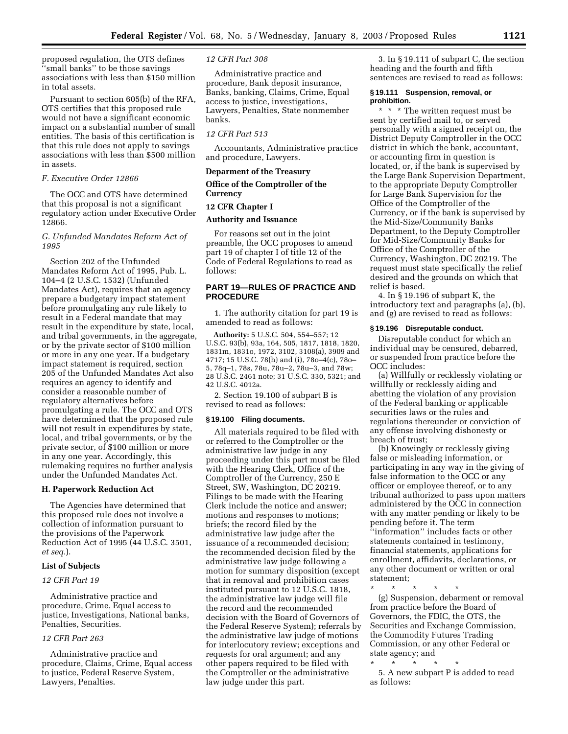proposed regulation, the OTS defines ''small banks'' to be those savings associations with less than \$150 million in total assets.

Pursuant to section 605(b) of the RFA, OTS certifies that this proposed rule would not have a significant economic impact on a substantial number of small entities. The basis of this certification is that this rule does not apply to savings associations with less than \$500 million in assets.

# *F. Executive Order 12866*

The OCC and OTS have determined that this proposal is not a significant regulatory action under Executive Order 12866.

# *G. Unfunded Mandates Reform Act of 1995*

Section 202 of the Unfunded Mandates Reform Act of 1995, Pub. L. 104–4 (2 U.S.C. 1532) (Unfunded Mandates Act), requires that an agency prepare a budgetary impact statement before promulgating any rule likely to result in a Federal mandate that may result in the expenditure by state, local, and tribal governments, in the aggregate, or by the private sector of \$100 million or more in any one year. If a budgetary impact statement is required, section 205 of the Unfunded Mandates Act also requires an agency to identify and consider a reasonable number of regulatory alternatives before promulgating a rule. The OCC and OTS have determined that the proposed rule will not result in expenditures by state, local, and tribal governments, or by the private sector, of \$100 million or more in any one year. Accordingly, this rulemaking requires no further analysis under the Unfunded Mandates Act.

# **H. Paperwork Reduction Act**

The Agencies have determined that this proposed rule does not involve a collection of information pursuant to the provisions of the Paperwork Reduction Act of 1995 (44 U.S.C. 3501, *et seq.*).

# **List of Subjects**

# *12 CFR Part 19*

Administrative practice and procedure, Crime, Equal access to justice, Investigations, National banks, Penalties, Securities.

# *12 CFR Part 263*

Administrative practice and procedure, Claims, Crime, Equal access to justice, Federal Reserve System, Lawyers, Penalties.

## *12 CFR Part 308*

Administrative practice and procedure, Bank deposit insurance, Banks, banking, Claims, Crime, Equal access to justice, investigations, Lawyers, Penalties, State nonmember banks.

#### *12 CFR Part 513*

Accountants, Administrative practice and procedure, Lawyers.

# **Deparment of the Treasury**

# **Office of the Comptroller of the Currency**

# **12 CFR Chapter I**

# **Authority and Issuance**

For reasons set out in the joint preamble, the OCC proposes to amend part 19 of chapter I of title 12 of the Code of Federal Regulations to read as follows:

# **PART 19—RULES OF PRACTICE AND PROCEDURE**

1. The authority citation for part 19 is amended to read as follows:

**Authority:** 5 U.S.C. 504, 554–557; 12 U.S.C. 93(b), 93a, 164, 505, 1817, 1818, 1820, 1831m, 1831o, 1972, 3102, 3108(a), 3909 and 4717; 15 U.S.C. 78(h) and (i), 78o–4(c), 78o– 5, 78q–1, 78s, 78u, 78u–2, 78u–3, and 78w; 28 U.S.C. 2461 note; 31 U.S.C. 330, 5321; and 42 U.S.C. 4012a.

2. Section 19.100 of subpart B is revised to read as follows:

#### **§ 19.100 Filing documents.**

All materials required to be filed with or referred to the Comptroller or the administrative law judge in any proceeding under this part must be filed with the Hearing Clerk, Office of the Comptroller of the Currency, 250 E Street, SW, Washington, DC 20219. Filings to be made with the Hearing Clerk include the notice and answer; motions and responses to motions; briefs; the record filed by the administrative law judge after the issuance of a recommended decision; the recommended decision filed by the administrative law judge following a motion for summary disposition (except that in removal and prohibition cases instituted pursuant to 12 U.S.C. 1818, the administrative law judge will file the record and the recommended decision with the Board of Governors of the Federal Reserve System); referrals by the administrative law judge of motions for interlocutory review; exceptions and requests for oral argument; and any other papers required to be filed with the Comptroller or the administrative law judge under this part.

3. In § 19.111 of subpart C, the section heading and the fourth and fifth sentences are revised to read as follows:

## **§ 19.111 Suspension, removal, or prohibition.**

\* \* \* The written request must be sent by certified mail to, or served personally with a signed receipt on, the District Deputy Comptroller in the OCC district in which the bank, accountant, or accounting firm in question is located, or, if the bank is supervised by the Large Bank Supervision Department, to the appropriate Deputy Comptroller for Large Bank Supervision for the Office of the Comptroller of the Currency, or if the bank is supervised by the Mid-Size/Community Banks Department, to the Deputy Comptroller for Mid-Size/Community Banks for Office of the Comptroller of the Currency, Washington, DC 20219. The request must state specifically the relief desired and the grounds on which that relief is based.

4. In § 19.196 of subpart K, the introductory text and paragraphs (a), (b), and (g) are revised to read as follows:

#### **§ 19.196 Disreputable conduct.**

Disreputable conduct for which an individual may be censured, debarred, or suspended from practice before the OCC includes:

(a) Willfully or recklessly violating or willfully or recklessly aiding and abetting the violation of any provision of the Federal banking or applicable securities laws or the rules and regulations thereunder or conviction of any offense involving dishonesty or breach of trust;

(b) Knowingly or recklessly giving false or misleading information, or participating in any way in the giving of false information to the OCC or any officer or employee thereof, or to any tribunal authorized to pass upon matters administered by the OCC in connection with any matter pending or likely to be pending before it. The term ''information'' includes facts or other statements contained in testimony, financial statements, applications for enrollment, affidavits, declarations, or any other document or written or oral statement;

\* \* \* \* \*

(g) Suspension, debarment or removal from practice before the Board of Governors, the FDIC, the OTS, the Securities and Exchange Commission, the Commodity Futures Trading Commission, or any other Federal or state agency; and

\* \* \* \* \* 5. A new subpart P is added to read

as follows: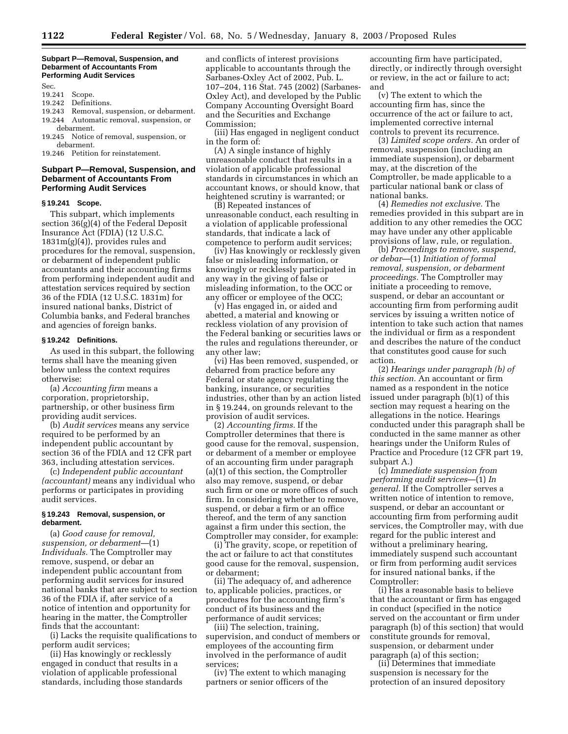#### **Subpart P—Removal, Suspension, and Debarment of Accountants From Performing Audit Services**

Sec.

- 19.241 Scope.
- 19.242 Definitions.
- 
- 19.243 Removal, suspension, or debarment. 19.244 Automatic removal, suspension, or
- debarment. 19.245 Notice of removal, suspension, or debarment.
- 19.246 Petition for reinstatement.

# **Subpart P—Removal, Suspension, and Debarment of Accountants From Performing Audit Services**

## **§ 19.241 Scope.**

This subpart, which implements section 36(g)(4) of the Federal Deposit Insurance Act (FDIA) (12 U.S.C.  $1831m(g)(4)$ , provides rules and procedures for the removal, suspension, or debarment of independent public accountants and their accounting firms from performing independent audit and attestation services required by section 36 of the FDIA (12 U.S.C. 1831m) for insured national banks, District of Columbia banks, and Federal branches and agencies of foreign banks.

# **§ 19.242 Definitions.**

As used in this subpart, the following terms shall have the meaning given below unless the context requires otherwise:

(a) *Accounting firm* means a corporation, proprietorship, partnership, or other business firm providing audit services.

(b) *Audit services* means any service required to be performed by an independent public accountant by section 36 of the FDIA and 12 CFR part 363, including attestation services.

(c) *Independent public accountant (accountant)* means any individual who performs or participates in providing audit services.

# **§ 19.243 Removal, suspension, or debarment.**

(a) *Good cause for removal, suspension, or debarment*—(1) *Individuals.* The Comptroller may remove, suspend, or debar an independent public accountant from performing audit services for insured national banks that are subject to section 36 of the FDIA if, after service of a notice of intention and opportunity for hearing in the matter, the Comptroller finds that the accountant:

(i) Lacks the requisite qualifications to perform audit services;

(ii) Has knowingly or recklessly engaged in conduct that results in a violation of applicable professional standards, including those standards and conflicts of interest provisions applicable to accountants through the Sarbanes-Oxley Act of 2002, Pub. L. 107–204, 116 Stat. 745 (2002) (Sarbanes-Oxley Act), and developed by the Public Company Accounting Oversight Board and the Securities and Exchange Commission;

(iii) Has engaged in negligent conduct in the form of:

(A) A single instance of highly unreasonable conduct that results in a violation of applicable professional standards in circumstances in which an accountant knows, or should know, that heightened scrutiny is warranted; or

(B) Repeated instances of unreasonable conduct, each resulting in a violation of applicable professional standards, that indicate a lack of competence to perform audit services;

(iv) Has knowingly or recklessly given false or misleading information, or knowingly or recklessly participated in any way in the giving of false or misleading information, to the OCC or any officer or employee of the OCC;

(v) Has engaged in, or aided and abetted, a material and knowing or reckless violation of any provision of the Federal banking or securities laws or the rules and regulations thereunder, or any other law;

(vi) Has been removed, suspended, or debarred from practice before any Federal or state agency regulating the banking, insurance, or securities industries, other than by an action listed in § 19.244, on grounds relevant to the provision of audit services.

(2) *Accounting firms.* If the Comptroller determines that there is good cause for the removal, suspension, or debarment of a member or employee of an accounting firm under paragraph (a)(1) of this section, the Comptroller also may remove, suspend, or debar such firm or one or more offices of such firm. In considering whether to remove, suspend, or debar a firm or an office thereof, and the term of any sanction against a firm under this section, the Comptroller may consider, for example:

(i) The gravity, scope, or repetition of the act or failure to act that constitutes good cause for the removal, suspension, or debarment;

(ii) The adequacy of, and adherence to, applicable policies, practices, or procedures for the accounting firm's conduct of its business and the performance of audit services;

(iii) The selection, training, supervision, and conduct of members or employees of the accounting firm involved in the performance of audit services;

(iv) The extent to which managing partners or senior officers of the

accounting firm have participated, directly, or indirectly through oversight or review, in the act or failure to act; and

(v) The extent to which the accounting firm has, since the occurrence of the act or failure to act, implemented corrective internal controls to prevent its recurrence.

(3) *Limited scope orders.* An order of removal, suspension (including an immediate suspension), or debarment may, at the discretion of the Comptroller, be made applicable to a particular national bank or class of national banks.

(4) *Remedies not exclusive.* The remedies provided in this subpart are in addition to any other remedies the OCC may have under any other applicable provisions of law, rule, or regulation.

(b) *Proceedings to remove, suspend, or debar*—(1) *Initiation of formal removal, suspension, or debarment proceedings.* The Comptroller may initiate a proceeding to remove, suspend, or debar an accountant or accounting firm from performing audit services by issuing a written notice of intention to take such action that names the individual or firm as a respondent and describes the nature of the conduct that constitutes good cause for such action.

(2) *Hearings under paragraph (b) of this section.* An accountant or firm named as a respondent in the notice issued under paragraph (b)(1) of this section may request a hearing on the allegations in the notice. Hearings conducted under this paragraph shall be conducted in the same manner as other hearings under the Uniform Rules of Practice and Procedure (12 CFR part 19, subpart A.)

(c) *Immediate suspension from performing audit services*—(1) *In general.* If the Comptroller serves a written notice of intention to remove, suspend, or debar an accountant or accounting firm from performing audit services, the Comptroller may, with due regard for the public interest and without a preliminary hearing, immediately suspend such accountant or firm from performing audit services for insured national banks, if the Comptroller:

(i) Has a reasonable basis to believe that the accountant or firm has engaged in conduct (specified in the notice served on the accountant or firm under paragraph (b) of this section) that would constitute grounds for removal, suspension, or debarment under paragraph (a) of this section;

(ii) Determines that immediate suspension is necessary for the protection of an insured depository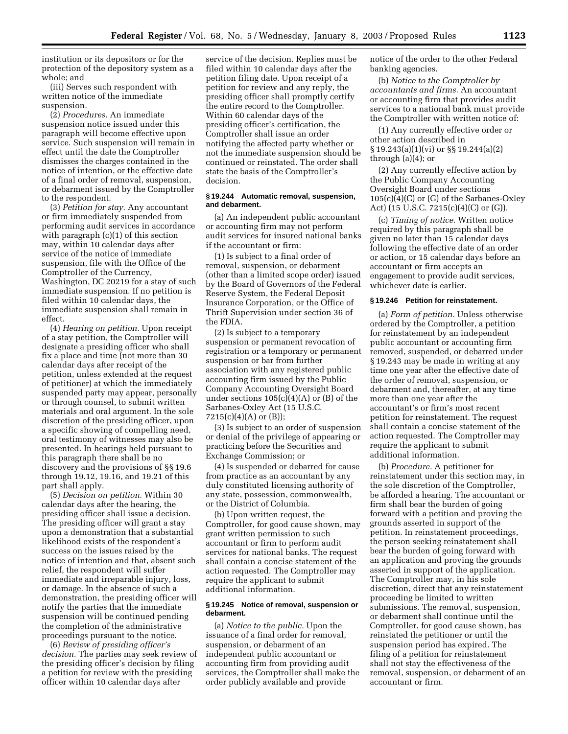institution or its depositors or for the protection of the depository system as a whole; and

(iii) Serves such respondent with written notice of the immediate suspension.

(2) *Procedures.* An immediate suspension notice issued under this paragraph will become effective upon service. Such suspension will remain in effect until the date the Comptroller dismisses the charges contained in the notice of intention, or the effective date of a final order of removal, suspension, or debarment issued by the Comptroller to the respondent.

(3) *Petition for stay.* Any accountant or firm immediately suspended from performing audit services in accordance with paragraph (c)(1) of this section may, within 10 calendar days after service of the notice of immediate suspension, file with the Office of the Comptroller of the Currency, Washington, DC 20219 for a stay of such immediate suspension. If no petition is filed within 10 calendar days, the immediate suspension shall remain in effect.

(4) *Hearing on petition.* Upon receipt of a stay petition, the Comptroller will designate a presiding officer who shall fix a place and time (not more than 30 calendar days after receipt of the petition, unless extended at the request of petitioner) at which the immediately suspended party may appear, personally or through counsel, to submit written materials and oral argument. In the sole discretion of the presiding officer, upon a specific showing of compelling need, oral testimony of witnesses may also be presented. In hearings held pursuant to this paragraph there shall be no discovery and the provisions of §§ 19.6 through 19.12, 19.16, and 19.21 of this part shall apply.

(5) *Decision on petition.* Within 30 calendar days after the hearing, the presiding officer shall issue a decision. The presiding officer will grant a stay upon a demonstration that a substantial likelihood exists of the respondent's success on the issues raised by the notice of intention and that, absent such relief, the respondent will suffer immediate and irreparable injury, loss, or damage. In the absence of such a demonstration, the presiding officer will notify the parties that the immediate suspension will be continued pending the completion of the administrative proceedings pursuant to the notice.

(6) *Review of presiding officer's decision.* The parties may seek review of the presiding officer's decision by filing a petition for review with the presiding officer within 10 calendar days after

service of the decision. Replies must be filed within 10 calendar days after the petition filing date. Upon receipt of a petition for review and any reply, the presiding officer shall promptly certify the entire record to the Comptroller. Within 60 calendar days of the presiding officer's certification, the Comptroller shall issue an order notifying the affected party whether or not the immediate suspension should be continued or reinstated. The order shall state the basis of the Comptroller's decision.

# **§ 19.244 Automatic removal, suspension, and debarment.**

(a) An independent public accountant or accounting firm may not perform audit services for insured national banks if the accountant or firm:

(1) Is subject to a final order of removal, suspension, or debarment (other than a limited scope order) issued by the Board of Governors of the Federal Reserve System, the Federal Deposit Insurance Corporation, or the Office of Thrift Supervision under section 36 of the FDIA.

(2) Is subject to a temporary suspension or permanent revocation of registration or a temporary or permanent suspension or bar from further association with any registered public accounting firm issued by the Public Company Accounting Oversight Board under sections  $105(c)(4)(A)$  or  $(B)$  of the Sarbanes-Oxley Act (15 U.S.C. 7215(c)(4)(A) or (B));

(3) Is subject to an order of suspension or denial of the privilege of appearing or practicing before the Securities and Exchange Commission; or

(4) Is suspended or debarred for cause from practice as an accountant by any duly constituted licensing authority of any state, possession, commonwealth, or the District of Columbia.

(b) Upon written request, the Comptroller, for good cause shown, may grant written permission to such accountant or firm to perform audit services for national banks. The request shall contain a concise statement of the action requested. The Comptroller may require the applicant to submit additional information.

# **§ 19.245 Notice of removal, suspension or debarment.**

(a) *Notice to the public.* Upon the issuance of a final order for removal, suspension, or debarment of an independent public accountant or accounting firm from providing audit services, the Comptroller shall make the order publicly available and provide

notice of the order to the other Federal banking agencies.

(b) *Notice to the Comptroller by accountants and firms.* An accountant or accounting firm that provides audit services to a national bank must provide the Comptroller with written notice of:

(1) Any currently effective order or other action described in § 19.243(a)(1)(vi) or §§ 19.244(a)(2) through (a)(4); or

(2) Any currently effective action by the Public Company Accounting Oversight Board under sections 105(c)(4)(C) or (G) of the Sarbanes-Oxley Act) (15 U.S.C. 7215(c)(4)(C) or (G)).

(c) *Timing of notice.* Written notice required by this paragraph shall be given no later than 15 calendar days following the effective date of an order or action, or 15 calendar days before an accountant or firm accepts an engagement to provide audit services, whichever date is earlier.

# **§ 19.246 Petition for reinstatement.**

(a) *Form of petition.* Unless otherwise ordered by the Comptroller, a petition for reinstatement by an independent public accountant or accounting firm removed, suspended, or debarred under § 19.243 may be made in writing at any time one year after the effective date of the order of removal, suspension, or debarment and, thereafter, at any time more than one year after the accountant's or firm's most recent petition for reinstatement. The request shall contain a concise statement of the action requested. The Comptroller may require the applicant to submit additional information.

(b) *Procedure.* A petitioner for reinstatement under this section may, in the sole discretion of the Comptroller, be afforded a hearing. The accountant or firm shall bear the burden of going forward with a petition and proving the grounds asserted in support of the petition. In reinstatement proceedings, the person seeking reinstatement shall bear the burden of going forward with an application and proving the grounds asserted in support of the application. The Comptroller may, in his sole discretion, direct that any reinstatement proceeding be limited to written submissions. The removal, suspension, or debarment shall continue until the Comptroller, for good cause shown, has reinstated the petitioner or until the suspension period has expired. The filing of a petition for reinstatement shall not stay the effectiveness of the removal, suspension, or debarment of an accountant or firm.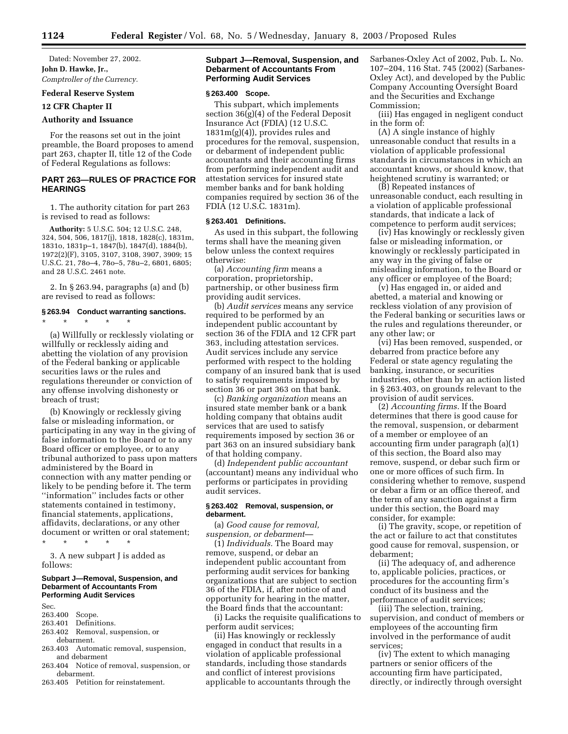Dated: November 27, 2002. **John D. Hawke, Jr.,**  *Comptroller of the Currency.*

#### **Federal Reserve System**

**12 CFR Chapter II** 

# **Authority and Issuance**

For the reasons set out in the joint preamble, the Board proposes to amend part 263, chapter II, title 12 of the Code of Federal Regulations as follows:

# **PART 263—RULES OF PRACTICE FOR HEARINGS**

1. The authority citation for part 263 is revised to read as follows:

**Authority:** 5 U.S.C. 504; 12 U.S.C. 248, 324, 504, 506, 1817(j), 1818, 1828(c), 1831m, 1831o, 1831p–1, 1847(b), 1847(d), 1884(b), 1972(2)(F), 3105, 3107, 3108, 3907, 3909; 15 U.S.C. 21, 78o–4, 78o–5, 78u–2, 6801, 6805; and 28 U.S.C. 2461 note.

2. In § 263.94, paragraphs (a) and (b) are revised to read as follows:

# **§ 263.94 Conduct warranting sanctions.** \* \* \* \* \*

(a) Willfully or recklessly violating or willfully or recklessly aiding and abetting the violation of any provision of the Federal banking or applicable securities laws or the rules and regulations thereunder or conviction of any offense involving dishonesty or breach of trust;

(b) Knowingly or recklessly giving false or misleading information, or participating in any way in the giving of false information to the Board or to any Board officer or employee, or to any tribunal authorized to pass upon matters administered by the Board in connection with any matter pending or likely to be pending before it. The term ''information'' includes facts or other statements contained in testimony, financial statements, applications, affidavits, declarations, or any other document or written or oral statement;

\* \* \* \* \* 3. A new subpart J is added as

follows:

# **Subpart J—Removal, Suspension, and Debarment of Accountants From Performing Audit Services**

Sec.

- 263.400 Scope.
- 263.401 Definitions.
- 263.402 Removal, suspension, or debarment.
- 263.403 Automatic removal, suspension, and debarment
- 263.404 Notice of removal, suspension, or debarment.
- 263.405 Petition for reinstatement.

# **Subpart J—Removal, Suspension, and Debarment of Accountants From Performing Audit Services**

#### **§ 263.400 Scope.**

This subpart, which implements section 36(g)(4) of the Federal Deposit Insurance Act (FDIA) (12 U.S.C. 1831m(g)(4)), provides rules and procedures for the removal, suspension, or debarment of independent public accountants and their accounting firms from performing independent audit and attestation services for insured state member banks and for bank holding companies required by section 36 of the FDIA (12 U.S.C. 1831m).

#### **§ 263.401 Definitions.**

As used in this subpart, the following terms shall have the meaning given below unless the context requires otherwise:

(a) *Accounting firm* means a corporation, proprietorship, partnership, or other business firm providing audit services.

(b) *Audit services* means any service required to be performed by an independent public accountant by section 36 of the FDIA and 12 CFR part 363, including attestation services. Audit services include any service performed with respect to the holding company of an insured bank that is used to satisfy requirements imposed by section 36 or part 363 on that bank.

(c) *Banking organization* means an insured state member bank or a bank holding company that obtains audit services that are used to satisfy requirements imposed by section 36 or part 363 on an insured subsidiary bank of that holding company.

(d) *Independent public accountant* (accountant) means any individual who performs or participates in providing audit services.

# **§ 263.402 Removal, suspension, or debarment.**

(a) *Good cause for removal, suspension, or debarment*—

(1) *Individuals.* The Board may remove, suspend, or debar an independent public accountant from performing audit services for banking organizations that are subject to section 36 of the FDIA, if, after notice of and opportunity for hearing in the matter, the Board finds that the accountant:

(i) Lacks the requisite qualifications to perform audit services;

(ii) Has knowingly or recklessly engaged in conduct that results in a violation of applicable professional standards, including those standards and conflict of interest provisions applicable to accountants through the Sarbanes-Oxley Act of 2002, Pub. L. No. 107–204, 116 Stat. 745 (2002) (Sarbanes-Oxley Act), and developed by the Public Company Accounting Oversight Board and the Securities and Exchange Commission;

(iii) Has engaged in negligent conduct in the form of:

(A) A single instance of highly unreasonable conduct that results in a violation of applicable professional standards in circumstances in which an accountant knows, or should know, that heightened scrutiny is warranted; or

(B) Repeated instances of unreasonable conduct, each resulting in a violation of applicable professional standards, that indicate a lack of competence to perform audit services;

(iv) Has knowingly or recklessly given false or misleading information, or knowingly or recklessly participated in any way in the giving of false or misleading information, to the Board or any officer or employee of the Board;

(v) Has engaged in, or aided and abetted, a material and knowing or reckless violation of any provision of the Federal banking or securities laws or the rules and regulations thereunder, or any other law; or

(vi) Has been removed, suspended, or debarred from practice before any Federal or state agency regulating the banking, insurance, or securities industries, other than by an action listed in § 263.403, on grounds relevant to the provision of audit services.

(2) *Accounting firms.* If the Board determines that there is good cause for the removal, suspension, or debarment of a member or employee of an accounting firm under paragraph (a)(1) of this section, the Board also may remove, suspend, or debar such firm or one or more offices of such firm. In considering whether to remove, suspend or debar a firm or an office thereof, and the term of any sanction against a firm under this section, the Board may consider, for example:

(i) The gravity, scope, or repetition of the act or failure to act that constitutes good cause for removal, suspension, or debarment;

(ii) The adequacy of, and adherence to, applicable policies, practices, or procedures for the accounting firm's conduct of its business and the performance of audit services;

(iii) The selection, training, supervision, and conduct of members or employees of the accounting firm involved in the performance of audit services;

(iv) The extent to which managing partners or senior officers of the accounting firm have participated, directly, or indirectly through oversight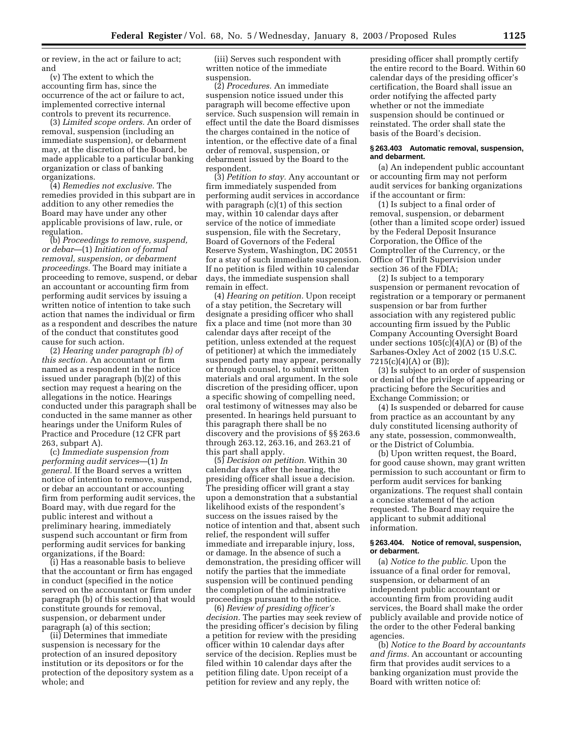or review, in the act or failure to act; and

(v) The extent to which the accounting firm has, since the occurrence of the act or failure to act, implemented corrective internal controls to prevent its recurrence.

(3) *Limited scope orders.* An order of removal, suspension (including an immediate suspension), or debarment may, at the discretion of the Board, be made applicable to a particular banking organization or class of banking organizations.

(4) *Remedies not exclusive.* The remedies provided in this subpart are in addition to any other remedies the Board may have under any other applicable provisions of law, rule, or regulation.

(b) *Proceedings to remove, suspend, or debar*—(1) *Initiation of formal removal, suspension, or debarment proceedings.* The Board may initiate a proceeding to remove, suspend, or debar an accountant or accounting firm from performing audit services by issuing a written notice of intention to take such action that names the individual or firm as a respondent and describes the nature of the conduct that constitutes good cause for such action.

(2) *Hearing under paragraph (b) of this section.* An accountant or firm named as a respondent in the notice issued under paragraph (b)(2) of this section may request a hearing on the allegations in the notice. Hearings conducted under this paragraph shall be conducted in the same manner as other hearings under the Uniform Rules of Practice and Procedure (12 CFR part 263, subpart A).

(c) *Immediate suspension from performing audit services*—(1) *In general.* If the Board serves a written notice of intention to remove, suspend, or debar an accountant or accounting firm from performing audit services, the Board may, with due regard for the public interest and without a preliminary hearing, immediately suspend such accountant or firm from performing audit services for banking organizations, if the Board:

(i) Has a reasonable basis to believe that the accountant or firm has engaged in conduct (specified in the notice served on the accountant or firm under paragraph (b) of this section) that would constitute grounds for removal, suspension, or debarment under paragraph (a) of this section;

(ii) Determines that immediate suspension is necessary for the protection of an insured depository institution or its depositors or for the protection of the depository system as a whole; and

(iii) Serves such respondent with written notice of the immediate suspension.

(2) *Procedures.* An immediate suspension notice issued under this paragraph will become effective upon service. Such suspension will remain in effect until the date the Board dismisses the charges contained in the notice of intention, or the effective date of a final order of removal, suspension, or debarment issued by the Board to the respondent.

(3) *Petition to stay.* Any accountant or firm immediately suspended from performing audit services in accordance with paragraph (c)(1) of this section may, within 10 calendar days after service of the notice of immediate suspension, file with the Secretary, Board of Governors of the Federal Reserve System, Washington, DC 20551 for a stay of such immediate suspension. If no petition is filed within 10 calendar days, the immediate suspension shall remain in effect.

(4) *Hearing on petition.* Upon receipt of a stay petition, the Secretary will designate a presiding officer who shall fix a place and time (not more than 30 calendar days after receipt of the petition, unless extended at the request of petitioner) at which the immediately suspended party may appear, personally or through counsel, to submit written materials and oral argument. In the sole discretion of the presiding officer, upon a specific showing of compelling need, oral testimony of witnesses may also be presented. In hearings held pursuant to this paragraph there shall be no discovery and the provisions of §§ 263.6 through 263.12, 263.16, and 263.21 of this part shall apply.

(5) *Decision on petition.* Within 30 calendar days after the hearing, the presiding officer shall issue a decision. The presiding officer will grant a stay upon a demonstration that a substantial likelihood exists of the respondent's success on the issues raised by the notice of intention and that, absent such relief, the respondent will suffer immediate and irreparable injury, loss, or damage. In the absence of such a demonstration, the presiding officer will notify the parties that the immediate suspension will be continued pending the completion of the administrative proceedings pursuant to the notice.

(6) *Review of presiding officer's decision.* The parties may seek review of the presiding officer's decision by filing a petition for review with the presiding officer within 10 calendar days after service of the decision. Replies must be filed within 10 calendar days after the petition filing date. Upon receipt of a petition for review and any reply, the

presiding officer shall promptly certify the entire record to the Board. Within 60 calendar days of the presiding officer's certification, the Board shall issue an order notifying the affected party whether or not the immediate suspension should be continued or reinstated. The order shall state the basis of the Board's decision.

#### **§ 263.403 Automatic removal, suspension, and debarment.**

(a) An independent public accountant or accounting firm may not perform audit services for banking organizations if the accountant or firm:

(1) Is subject to a final order of removal, suspension, or debarment (other than a limited scope order) issued by the Federal Deposit Insurance Corporation, the Office of the Comptroller of the Currency, or the Office of Thrift Supervision under section 36 of the FDIA;

(2) Is subject to a temporary suspension or permanent revocation of registration or a temporary or permanent suspension or bar from further association with any registered public accounting firm issued by the Public Company Accounting Oversight Board under sections  $105(c)(4)(A)$  or  $(B)$  of the Sarbanes-Oxley Act of 2002 (15 U.S.C. 7215(c)(4)(A) or (B));

(3) Is subject to an order of suspension or denial of the privilege of appearing or practicing before the Securities and Exchange Commission; or

(4) Is suspended or debarred for cause from practice as an accountant by any duly constituted licensing authority of any state, possession, commonwealth, or the District of Columbia.

(b) Upon written request, the Board, for good cause shown, may grant written permission to such accountant or firm to perform audit services for banking organizations. The request shall contain a concise statement of the action requested. The Board may require the applicant to submit additional information.

## **§ 263.404. Notice of removal, suspension, or debarment.**

(a) *Notice to the public.* Upon the issuance of a final order for removal, suspension, or debarment of an independent public accountant or accounting firm from providing audit services, the Board shall make the order publicly available and provide notice of the order to the other Federal banking agencies.

(b) *Notice to the Board by accountants and firms.* An accountant or accounting firm that provides audit services to a banking organization must provide the Board with written notice of: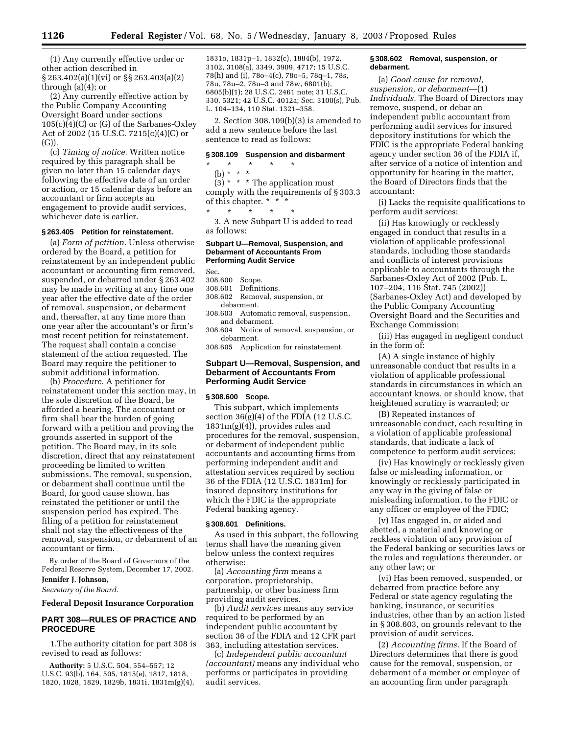(1) Any currently effective order or other action described in § 263.402(a)(1)(vi) or §§ 263.403(a)(2) through (a)(4); or

(2) Any currently effective action by the Public Company Accounting Oversight Board under sections  $105(c)(4)(C)$  or  $(G)$  of the Sarbanes-Oxley Act of 2002 (15 U.S.C. 7215(c)(4)(C) or (G)).

(c) *Timing of notice.* Written notice required by this paragraph shall be given no later than 15 calendar days following the effective date of an order or action, or 15 calendar days before an accountant or firm accepts an engagement to provide audit services, whichever date is earlier.

#### **§ 263.405 Petition for reinstatement.**

(a) *Form of petition.* Unless otherwise ordered by the Board, a petition for reinstatement by an independent public accountant or accounting firm removed, suspended, or debarred under § 263.402 may be made in writing at any time one year after the effective date of the order of removal, suspension, or debarment and, thereafter, at any time more than one year after the accountant's or firm's most recent petition for reinstatement. The request shall contain a concise statement of the action requested. The Board may require the petitioner to submit additional information.

(b) *Procedure.* A petitioner for reinstatement under this section may, in the sole discretion of the Board, be afforded a hearing. The accountant or firm shall bear the burden of going forward with a petition and proving the grounds asserted in support of the petition. The Board may, in its sole discretion, direct that any reinstatement proceeding be limited to written submissions. The removal, suspension, or debarment shall continue until the Board, for good cause shown, has reinstated the petitioner or until the suspension period has expired. The filing of a petition for reinstatement shall not stay the effectiveness of the removal, suspension, or debarment of an accountant or firm.

By order of the Board of Governors of the Federal Reserve System, December 17, 2002. **Jennifer J. Johnson,** 

*Secretary of the Board.*

# **Federal Deposit Insurance Corporation**

# **PART 308—RULES OF PRACTICE AND PROCEDURE**

1.The authority citation for part 308 is revised to read as follows:

**Authority:** 5 U.S.C. 504, 554–557; 12 U.S.C. 93(b), 164, 505, 1815(e), 1817, 1818, 1820, 1828, 1829, 1829b, 1831i, 1831m(g)(4), 1831o, 1831p–1, 1832(c), 1884(b), 1972, 3102, 3108(a), 3349, 3909, 4717; 15 U.S.C. 78(h) and (i), 78o–4(c), 78o–5, 78q–1, 78s, 78u, 78u–2, 78u–3 and 78w, 6801(b), 6805(b)(1); 28 U.S.C. 2461 note; 31 U.S.C. 330, 5321; 42 U.S.C. 4012a; Sec. 3100(s), Pub. L. 104–134, 110 Stat. 1321–358.

2. Section 308.109(b)(3) is amended to add a new sentence before the last sentence to read as follows:

#### **§ 308.109 Suspension and disbarment**

 $\star$   $\qquad$   $\star$   $\qquad$   $\star$ (b) \* \* \*

 $(3)$  \* \* \* The application must comply with the requirements of § 303.3 of this chapter. \* \* \*

\* \* \* \* \* 3. A new Subpart U is added to read as follows:

# **Subpart U—Removal, Suspension, and Debarment of Accountants From Performing Audit Service**

Sec.

- 308.600 Scope.
- Definitions.
- 308.602 Removal, suspension, or debarment.
- 308.603 Automatic removal, suspension, and debarment.
- 308.604 Notice of removal, suspension, or debarment.
- 308.605 Application for reinstatement.

# **Subpart U—Removal, Suspension, and Debarment of Accountants From Performing Audit Service**

#### **§ 308.600 Scope.**

This subpart, which implements section  $36(g)(4)$  of the FDIA (12 U.S.C. 1831m(g)(4)), provides rules and procedures for the removal, suspension, or debarment of independent public accountants and accounting firms from performing independent audit and attestation services required by section 36 of the FDIA (12 U.S.C. 1831m) for insured depository institutions for which the FDIC is the appropriate Federal banking agency.

# **§ 308.601 Definitions.**

As used in this subpart, the following terms shall have the meaning given below unless the context requires otherwise:

(a) *Accounting firm* means a corporation, proprietorship, partnership, or other business firm providing audit services.

(b) *Audit services* means any service required to be performed by an independent public accountant by section 36 of the FDIA and 12 CFR part 363, including attestation services.

(c) *Independent public accountant (accountant)* means any individual who performs or participates in providing audit services.

# **§ 308.602 Removal, suspension, or debarment.**

(a) *Good cause for removal, suspension, or debarment—*(1) *Individuals.* The Board of Directors may remove, suspend, or debar an independent public accountant from performing audit services for insured depository institutions for which the FDIC is the appropriate Federal banking agency under section 36 of the FDIA if, after service of a notice of intention and opportunity for hearing in the matter, the Board of Directors finds that the accountant:

(i) Lacks the requisite qualifications to perform audit services;

(ii) Has knowingly or recklessly engaged in conduct that results in a violation of applicable professional standards, including those standards and conflicts of interest provisions applicable to accountants through the Sarbanes-Oxley Act of 2002 (Pub. L. 107–204, 116 Stat. 745 (2002)) (Sarbanes-Oxley Act) and developed by the Public Company Accounting Oversight Board and the Securities and Exchange Commission;

(iii) Has engaged in negligent conduct in the form of:

(A) A single instance of highly unreasonable conduct that results in a violation of applicable professional standards in circumstances in which an accountant knows, or should know, that heightened scrutiny is warranted; or

(B) Repeated instances of unreasonable conduct, each resulting in a violation of applicable professional standards, that indicate a lack of competence to perform audit services;

(iv) Has knowingly or recklessly given false or misleading information, or knowingly or recklessly participated in any way in the giving of false or misleading information, to the FDIC or any officer or employee of the FDIC;

(v) Has engaged in, or aided and abetted, a material and knowing or reckless violation of any provision of the Federal banking or securities laws or the rules and regulations thereunder, or any other law; or

(vi) Has been removed, suspended, or debarred from practice before any Federal or state agency regulating the banking, insurance, or securities industries, other than by an action listed in § 308.603, on grounds relevant to the provision of audit services.

(2) *Accounting firms.* If the Board of Directors determines that there is good cause for the removal, suspension, or debarment of a member or employee of an accounting firm under paragraph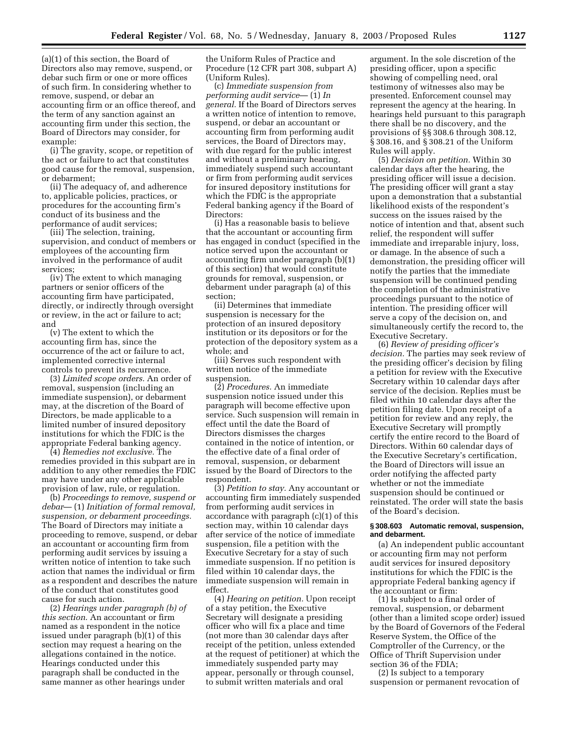(a)(1) of this section, the Board of Directors also may remove, suspend, or debar such firm or one or more offices of such firm. In considering whether to remove, suspend, or debar an accounting firm or an office thereof, and the term of any sanction against an accounting firm under this section, the Board of Directors may consider, for example:

(i) The gravity, scope, or repetition of the act or failure to act that constitutes good cause for the removal, suspension, or debarment;

(ii) The adequacy of, and adherence to, applicable policies, practices, or procedures for the accounting firm's conduct of its business and the performance of audit services;

(iii) The selection, training, supervision, and conduct of members or employees of the accounting firm involved in the performance of audit services;

(iv) The extent to which managing partners or senior officers of the accounting firm have participated, directly, or indirectly through oversight or review, in the act or failure to act; and

(v) The extent to which the accounting firm has, since the occurrence of the act or failure to act, implemented corrective internal controls to prevent its recurrence.

(3) *Limited scope orders.* An order of removal, suspension (including an immediate suspension), or debarment may, at the discretion of the Board of Directors, be made applicable to a limited number of insured depository institutions for which the FDIC is the appropriate Federal banking agency.

(4) *Remedies not exclusive.* The remedies provided in this subpart are in addition to any other remedies the FDIC may have under any other applicable provision of law, rule, or regulation.

(b) *Proceedings to remove, suspend or debar*— (1) *Initiation of formal removal, suspension, or debarment proceedings.* The Board of Directors may initiate a proceeding to remove, suspend, or debar an accountant or accounting firm from performing audit services by issuing a written notice of intention to take such action that names the individual or firm as a respondent and describes the nature of the conduct that constitutes good cause for such action.

(2) *Hearings under paragraph (b) of this section*. An accountant or firm named as a respondent in the notice issued under paragraph (b)(1) of this section may request a hearing on the allegations contained in the notice. Hearings conducted under this paragraph shall be conducted in the same manner as other hearings under

the Uniform Rules of Practice and Procedure (12 CFR part 308, subpart A) (Uniform Rules).

(c) *Immediate suspension from performing audit service*— (1) *In general.* If the Board of Directors serves a written notice of intention to remove, suspend, or debar an accountant or accounting firm from performing audit services, the Board of Directors may, with due regard for the public interest and without a preliminary hearing, immediately suspend such accountant or firm from performing audit services for insured depository institutions for which the FDIC is the appropriate Federal banking agency if the Board of Directors:

(i) Has a reasonable basis to believe that the accountant or accounting firm has engaged in conduct (specified in the notice served upon the accountant or accounting firm under paragraph (b)(1) of this section) that would constitute grounds for removal, suspension, or debarment under paragraph (a) of this section;

(ii) Determines that immediate suspension is necessary for the protection of an insured depository institution or its depositors or for the protection of the depository system as a whole; and

(iii) Serves such respondent with written notice of the immediate suspension.

(2) *Procedures.* An immediate suspension notice issued under this paragraph will become effective upon service. Such suspension will remain in effect until the date the Board of Directors dismisses the charges contained in the notice of intention, or the effective date of a final order of removal, suspension, or debarment issued by the Board of Directors to the respondent.

(3) *Petition to stay.* Any accountant or accounting firm immediately suspended from performing audit services in accordance with paragraph (c)(1) of this section may, within 10 calendar days after service of the notice of immediate suspension, file a petition with the Executive Secretary for a stay of such immediate suspension. If no petition is filed within 10 calendar days, the immediate suspension will remain in effect.

(4) *Hearing on petition.* Upon receipt of a stay petition, the Executive Secretary will designate a presiding officer who will fix a place and time (not more than 30 calendar days after receipt of the petition, unless extended at the request of petitioner) at which the immediately suspended party may appear, personally or through counsel, to submit written materials and oral

argument. In the sole discretion of the presiding officer, upon a specific showing of compelling need, oral testimony of witnesses also may be presented. Enforcement counsel may represent the agency at the hearing. In hearings held pursuant to this paragraph there shall be no discovery, and the provisions of §§ 308.6 through 308.12, § 308.16, and § 308.21 of the Uniform Rules will apply.

(5) *Decision on petition.* Within 30 calendar days after the hearing, the presiding officer will issue a decision. The presiding officer will grant a stay upon a demonstration that a substantial likelihood exists of the respondent's success on the issues raised by the notice of intention and that, absent such relief, the respondent will suffer immediate and irreparable injury, loss, or damage. In the absence of such a demonstration, the presiding officer will notify the parties that the immediate suspension will be continued pending the completion of the administrative proceedings pursuant to the notice of intention. The presiding officer will serve a copy of the decision on, and simultaneously certify the record to, the Executive Secretary.

(6) *Review of presiding officer's decision.* The parties may seek review of the presiding officer's decision by filing a petition for review with the Executive Secretary within 10 calendar days after service of the decision. Replies must be filed within 10 calendar days after the petition filing date. Upon receipt of a petition for review and any reply, the Executive Secretary will promptly certify the entire record to the Board of Directors. Within 60 calendar days of the Executive Secretary's certification, the Board of Directors will issue an order notifying the affected party whether or not the immediate suspension should be continued or reinstated. The order will state the basis of the Board's decision.

# **§ 308.603 Automatic removal, suspension, and debarment.**

(a) An independent public accountant or accounting firm may not perform audit services for insured depository institutions for which the FDIC is the appropriate Federal banking agency if the accountant or firm:

(1) Is subject to a final order of removal, suspension, or debarment (other than a limited scope order) issued by the Board of Governors of the Federal Reserve System, the Office of the Comptroller of the Currency, or the Office of Thrift Supervision under section 36 of the FDIA;

(2) Is subject to a temporary suspension or permanent revocation of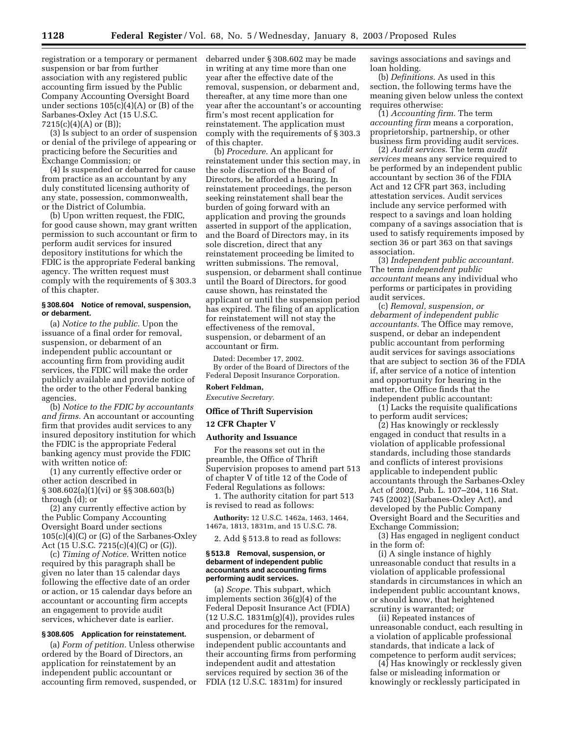registration or a temporary or permanent suspension or bar from further association with any registered public accounting firm issued by the Public Company Accounting Oversight Board under sections 105(c)(4)(A) or (B) of the Sarbanes-Oxley Act (15 U.S.C.  $7215(c)(4)(A)$  or  $(B)$ ;

(3) Is subject to an order of suspension or denial of the privilege of appearing or practicing before the Securities and Exchange Commission; or

(4) Is suspended or debarred for cause from practice as an accountant by any duly constituted licensing authority of any state, possession, commonwealth, or the District of Columbia.

(b) Upon written request, the FDIC, for good cause shown, may grant written permission to such accountant or firm to perform audit services for insured depository institutions for which the FDIC is the appropriate Federal banking agency. The written request must comply with the requirements of § 303.3 of this chapter.

#### **§ 308.604 Notice of removal, suspension, or debarment.**

(a) *Notice to the public.* Upon the issuance of a final order for removal, suspension, or debarment of an independent public accountant or accounting firm from providing audit services, the FDIC will make the order publicly available and provide notice of the order to the other Federal banking agencies.

(b) *Notice to the FDIC by accountants and firms.* An accountant or accounting firm that provides audit services to any insured depository institution for which the FDIC is the appropriate Federal banking agency must provide the FDIC with written notice of:

(1) any currently effective order or other action described in § 308.602(a)(1)(vi) or §§ 308.603(b) through (d); or

(2) any currently effective action by the Public Company Accounting Oversight Board under sections  $105(c)(4)(C)$  or  $(G)$  of the Sarbanes-Oxley Act (15 U.S.C. 7215(c)(4)(C) or (G)).

(c) *Timing of Notice.* Written notice required by this paragraph shall be given no later than 15 calendar days following the effective date of an order or action, or 15 calendar days before an accountant or accounting firm accepts an engagement to provide audit services, whichever date is earlier.

# **§ 308.605 Application for reinstatement.**

(a) *Form of petition.* Unless otherwise ordered by the Board of Directors, an application for reinstatement by an independent public accountant or accounting firm removed, suspended, or debarred under § 308.602 may be made in writing at any time more than one year after the effective date of the removal, suspension, or debarment and, thereafter, at any time more than one year after the accountant's or accounting firm's most recent application for reinstatement. The application must comply with the requirements of § 303.3 of this chapter.

(b) *Procedure.* An applicant for reinstatement under this section may, in the sole discretion of the Board of Directors, be afforded a hearing. In reinstatement proceedings, the person seeking reinstatement shall bear the burden of going forward with an application and proving the grounds asserted in support of the application, and the Board of Directors may, in its sole discretion, direct that any reinstatement proceeding be limited to written submissions. The removal, suspension, or debarment shall continue until the Board of Directors, for good cause shown, has reinstated the applicant or until the suspension period has expired. The filing of an application for reinstatement will not stay the effectiveness of the removal, suspension, or debarment of an accountant or firm.

Dated: December 17, 2002. By order of the Board of Directors of the Federal Deposit Insurance Corporation.

# **Robert Feldman,**

*Executive Secretary.*

# **Office of Thrift Supervision**

**12 CFR Chapter V** 

### **Authority and Issuance**

For the reasons set out in the preamble, the Office of Thrift Supervision proposes to amend part 513 of chapter V of title 12 of the Code of Federal Regulations as follows:

1. The authority citation for part 513 is revised to read as follows:

**Authority:** 12 U.S.C. 1462a, 1463, 1464, 1467a, 1813, 1831m, and 15 U.S.C. 78.

2. Add § 513.8 to read as follows:

#### **§ 513.8 Removal, suspension, or debarment of independent public accountants and accounting firms performing audit services.**

(a) *Scope.* This subpart, which implements section 36(g)(4) of the Federal Deposit Insurance Act (FDIA) (12 U.S.C. 1831m(g)(4)), provides rules and procedures for the removal, suspension, or debarment of independent public accountants and their accounting firms from performing independent audit and attestation services required by section 36 of the FDIA (12 U.S.C. 1831m) for insured

savings associations and savings and loan holding.

(b) *Definitions.* As used in this section, the following terms have the meaning given below unless the context requires otherwise:

(1) *Accounting firm.* The term *accounting firm* means a corporation, proprietorship, partnership, or other business firm providing audit services.

(2) *Audit services.* The term *audit services* means any service required to be performed by an independent public accountant by section 36 of the FDIA Act and 12 CFR part 363, including attestation services. Audit services include any service performed with respect to a savings and loan holding company of a savings association that is used to satisfy requirements imposed by section 36 or part 363 on that savings association.

(3) *Independent public accountant.* The term *independent public accountant* means any individual who performs or participates in providing audit services.

(c) *Removal, suspension, or debarment of independent public accountants.* The Office may remove, suspend, or debar an independent public accountant from performing audit services for savings associations that are subject to section 36 of the FDIA if, after service of a notice of intention and opportunity for hearing in the matter, the Office finds that the independent public accountant:

(1) Lacks the requisite qualifications to perform audit services;

(2) Has knowingly or recklessly engaged in conduct that results in a violation of applicable professional standards, including those standards and conflicts of interest provisions applicable to independent public accountants through the Sarbanes-Oxley Act of 2002, Pub. L. 107–204, 116 Stat. 745 (2002) (Sarbanes-Oxley Act), and developed by the Public Company Oversight Board and the Securities and Exchange Commission;

(3) Has engaged in negligent conduct in the form of:

(i) A single instance of highly unreasonable conduct that results in a violation of applicable professional standards in circumstances in which an independent public accountant knows, or should know, that heightened scrutiny is warranted; or

(ii) Repeated instances of unreasonable conduct, each resulting in a violation of applicable professional standards, that indicate a lack of competence to perform audit services;

(4) Has knowingly or recklessly given false or misleading information or knowingly or recklessly participated in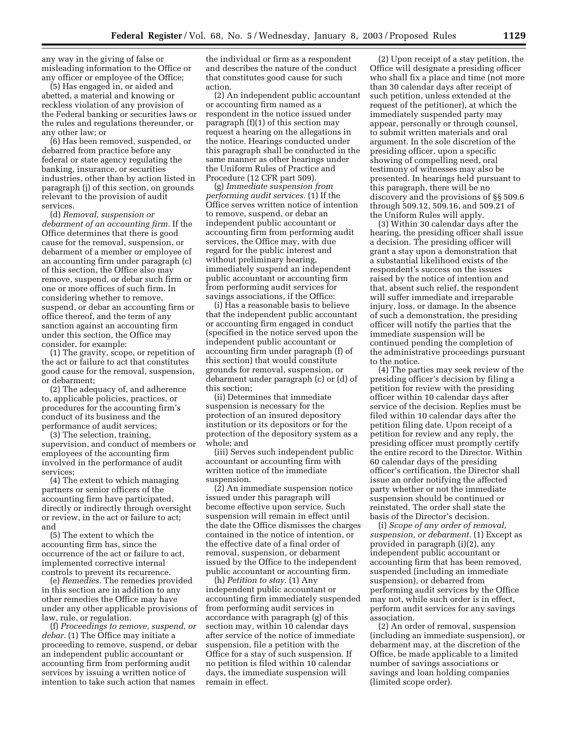any way in the giving of false or misleading information to the Office or any officer or employee of the Office;

(5) Has engaged in, or aided and abetted, a material and knowing or reckless violation of any provision of the Federal banking or securities laws or the rules and regulations thereunder, or any other law; or

(6) Has been removed, suspended, or debarred from practice before any federal or state agency regulating the banking, insurance, or securities industries, other than by action listed in paragraph (j) of this section, on grounds relevant to the provision of audit services.

(d) *Removal, suspension or debarment of an accounting firm.* If the Office determines that there is good cause for the removal, suspension, or debarment of a member or employee of an accounting firm under paragraph (c) of this section, the Office also may remove, suspend, or debar such firm or one or more offices of such firm. In considering whether to remove, suspend, or debar an accounting firm or office thereof, and the term of any sanction against an accounting firm under this section, the Office may consider, for example:

(1) The gravity, scope, or repetition of the act or failure to act that constitutes good cause for the removal, suspension, or debarment;

(2) The adequacy of, and adherence to, applicable policies, practices, or procedures for the accounting firm's conduct of its business and the performance of audit services;

(3) The selection, training, supervision, and conduct of members or employees of the accounting firm involved in the performance of audit services;

(4) The extent to which managing partners or senior officers of the accounting firm have participated, directly or indirectly through oversight or review, in the act or failure to act; and

(5) The extent to which the accounting firm has, since the occurrence of the act or failure to act, implemented corrective internal controls to prevent its recurrence.

(e) *Remedies.* The remedies provided in this section are in addition to any other remedies the Office may have under any other applicable provisions of law, rule, or regulation.

(f) *Proceedings to remove, suspend, or debar.* (1) The Office may initiate a proceeding to remove, suspend, or debar an independent public accountant or accounting firm from performing audit services by issuing a written notice of intention to take such action that names

the individual or firm as a respondent and describes the nature of the conduct that constitutes good cause for such action.

(2) An independent public accountant or accounting firm named as a respondent in the notice issued under paragraph (f)(1) of this section may request a hearing on the allegations in the notice. Hearings conducted under this paragraph shall be conducted in the same manner as other hearings under the Uniform Rules of Practice and Procedure (12 CFR part 509).

(g) *Immediate suspension from performing audit services.* (1) If the Office serves written notice of intention to remove, suspend, or debar an independent public accountant or accounting firm from performing audit services, the Office may, with due regard for the public interest and without preliminary hearing, immediately suspend an independent public accountant or accounting firm from performing audit services for savings associations, if the Office:

(i) Has a reasonable basis to believe that the independent public accountant or accounting firm engaged in conduct (specified in the notice served upon the independent public accountant or accounting firm under paragraph (f) of this section) that would constitute grounds for removal, suspension, or debarment under paragraph (c) or (d) of this section;

(ii) Determines that immediate suspension is necessary for the protection of an insured depository institution or its depositors or for the protection of the depository system as a whole; and

(iii) Serves such independent public accountant or accounting firm with written notice of the immediate suspension.

(2) An immediate suspension notice issued under this paragraph will become effective upon service. Such suspension will remain in effect until the date the Office dismisses the charges contained in the notice of intention, or the effective date of a final order of removal, suspension, or debarment issued by the Office to the independent public accountant or accounting firm.

(h) *Petition to stay.* (1) Any independent public accountant or accounting firm immediately suspended from performing audit services in accordance with paragraph (g) of this section may, within 10 calendar days after service of the notice of immediate suspension, file a petition with the Office for a stay of such suspension. If no petition is filed within 10 calendar days, the immediate suspension will remain in effect.

(2) Upon receipt of a stay petition, the Office will designate a presiding officer who shall fix a place and time (not more than 30 calendar days after receipt of such petition, unless extended at the request of the petitioner), at which the immediately suspended party may appear, personally or through counsel, to submit written materials and oral argument. In the sole discretion of the presiding officer, upon a specific showing of compelling need, oral testimony of witnesses may also be presented. In hearings held pursuant to this paragraph, there will be no discovery and the provisions of §§ 509.6 through 509.12, 509.16, and 509.21 of the Uniform Rules will apply.

(3) Within 30 calendar days after the hearing, the presiding officer shall issue a decision. The presiding officer will grant a stay upon a demonstration that a substantial likelihood exists of the respondent's success on the issues raised by the notice of intention and that, absent such relief, the respondent will suffer immediate and irreparable injury, loss, or damage. In the absence of such a demonstration, the presiding officer will notify the parties that the immediate suspension will be continued pending the completion of the administrative proceedings pursuant to the notice.

(4) The parties may seek review of the presiding officer's decision by filing a petition for review with the presiding officer within 10 calendar days after service of the decision. Replies must be filed within 10 calendar days after the petition filing date. Upon receipt of a petition for review and any reply, the presiding officer must promptly certify the entire record to the Director. Within 60 calendar days of the presiding officer's certification, the Director shall issue an order notifying the affected party whether or not the immediate suspension should be continued or reinstated. The order shall state the basis of the Director's decision.

(i) *Scope of any order of removal, suspension, or debarment.* (1) Except as provided in paragraph (i)(2), any independent public accountant or accounting firm that has been removed, suspended (including an immediate suspension), or debarred from performing audit services by the Office may not, while such order is in effect, perform audit services for any savings association.

(2) An order of removal, suspension (including an immediate suspension), or debarment may, at the discretion of the Office, be made applicable to a limited number of savings associations or savings and loan holding companies (limited scope order).